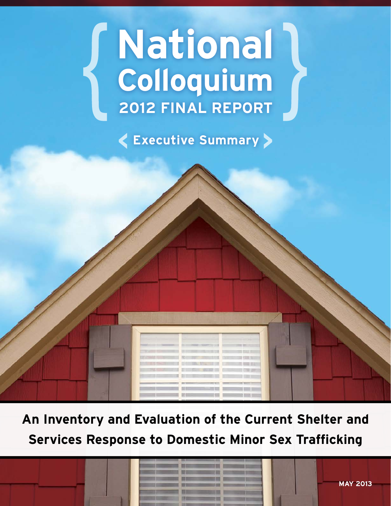# **2012 FINAL REPORT National Colloquium**

**Executive Summary**

**An Inventory and Evaluation of the Current Shelter and Services Response to Domestic Minor Sex Trafficking**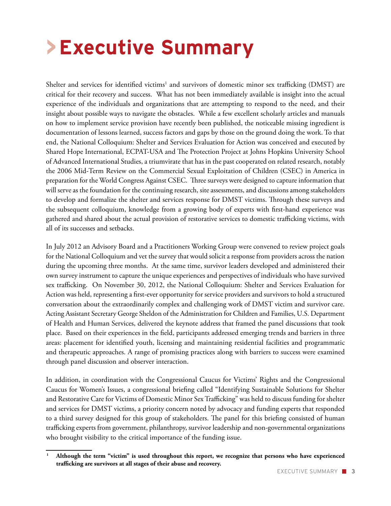# **>Executive Summary**

Shelter and services for identified victims<sup>1</sup> and survivors of domestic minor sex trafficking (DMST) are critical for their recovery and success. What has not been immediately available is insight into the actual experience of the individuals and organizations that are attempting to respond to the need, and their insight about possible ways to navigate the obstacles. While a few excellent scholarly articles and manuals on how to implement service provision have recently been published, the noticeable missing ingredient is documentation of lessons learned, success factors and gaps by those on the ground doing the work. To that end, the National Colloquium: Shelter and Services Evaluation for Action was conceived and executed by Shared Hope International, ECPAT-USA and The Protection Project at Johns Hopkins University School of Advanced International Studies, a triumvirate that has in the past cooperated on related research, notably the 2006 Mid-Term Review on the Commercial Sexual Exploitation of Children (CSEC) in America in preparation for the World Congress Against CSEC. Three surveys were designed to capture information that will serve as the foundation for the continuing research, site assessments, and discussions among stakeholders to develop and formalize the shelter and services response for DMST victims. Through these surveys and the subsequent colloquium, knowledge from a growing body of experts with first-hand experience was gathered and shared about the actual provision of restorative services to domestic trafficking victims, with all of its successes and setbacks.

In July 2012 an Advisory Board and a Practitioners Working Group were convened to review project goals for the National Colloquium and vet the survey that would solicit a response from providers across the nation during the upcoming three months. At the same time, survivor leaders developed and administered their own survey instrument to capture the unique experiences and perspectives of individuals who have survived sex trafficking. On November 30, 2012, the National Colloquium: Shelter and Services Evaluation for Action was held, representing a first-ever opportunity for service providers and survivors to hold a structured conversation about the extraordinarily complex and challenging work of DMST victim and survivor care. Acting Assistant Secretary George Sheldon of the Administration for Children and Families, U.S. Department of Health and Human Services, delivered the keynote address that framed the panel discussions that took place. Based on their experiences in the field, participants addressed emerging trends and barriers in three areas: placement for identified youth, licensing and maintaining residential facilities and programmatic and therapeutic approaches. A range of promising practices along with barriers to success were examined through panel discussion and observer interaction.

In addition, in coordination with the Congressional Caucus for Victims' Rights and the Congressional Caucus for Women's Issues, a congressional briefing called "Identifying Sustainable Solutions for Shelter and Restorative Care for Victims of Domestic Minor Sex Trafficking" was held to discuss funding for shelter and services for DMST victims, a priority concern noted by advocacy and funding experts that responded to a third survey designed for this group of stakeholders. The panel for this briefing consisted of human trafficking experts from government, philanthropy, survivor leadership and non-governmental organizations who brought visibility to the critical importance of the funding issue.

**<sup>1</sup> Although the term "victim" is used throughout this report, we recognize that persons who have experienced trafficking are survivors at all stages of their abuse and recovery.**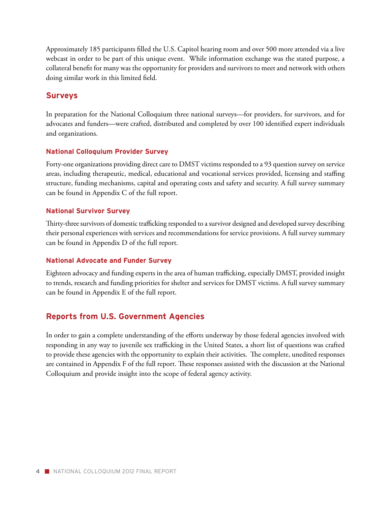Approximately 185 participants filled the U.S. Capitol hearing room and over 500 more attended via a live webcast in order to be part of this unique event. While information exchange was the stated purpose, a collateral benefit for many was the opportunity for providers and survivors to meet and network with others doing similar work in this limited field.

### **Surveys**

In preparation for the National Colloquium three national surveys—for providers, for survivors, and for advocates and funders—were crafted, distributed and completed by over 100 identified expert individuals and organizations.

#### **National Colloquium Provider Survey**

Forty-one organizations providing direct care to DMST victims responded to a 93 question survey on service areas, including therapeutic, medical, educational and vocational services provided, licensing and staffing structure, funding mechanisms, capital and operating costs and safety and security. A full survey summary can be found in Appendix C of the full report.

#### **National Survivor Survey**

Thirty-three survivors of domestic trafficking responded to a survivor designed and developed survey describing their personal experiences with services and recommendations for service provisions. A full survey summary can be found in Appendix D of the full report.

### **National Advocate and Funder Survey**

Eighteen advocacy and funding experts in the area of human trafficking, especially DMST, provided insight to trends, research and funding priorities for shelter and services for DMST victims. A full survey summary can be found in Appendix E of the full report.

### **Reports from U.S. Government Agencies**

In order to gain a complete understanding of the efforts underway by those federal agencies involved with responding in any way to juvenile sex trafficking in the United States, a short list of questions was crafted to provide these agencies with the opportunity to explain their activities. The complete, unedited responses are contained in Appendix F of the full report. These responses assisted with the discussion at the National Colloquium and provide insight into the scope of federal agency activity.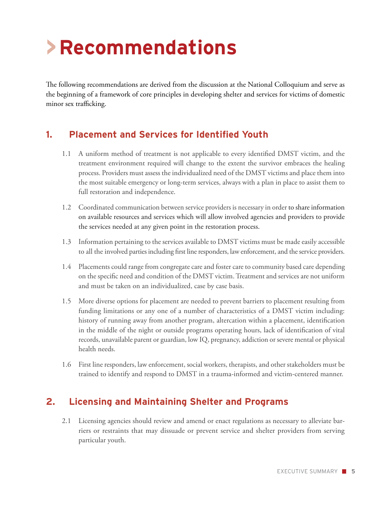# **>Recommendations**

The following recommendations are derived from the discussion at the National Colloquium and serve as the beginning of a framework of core principles in developing shelter and services for victims of domestic minor sex trafficking.

## **1. Placement and Services for Identified Youth**

- 1.1 A uniform method of treatment is not applicable to every identified DMST victim, and the treatment environment required will change to the extent the survivor embraces the healing process. Providers must assess the individualized need of the DMST victims and place them into the most suitable emergency or long-term services, always with a plan in place to assist them to full restoration and independence.
- 1.2 Coordinated communication between service providers is necessary in order to share information on available resources and services which will allow involved agencies and providers to provide the services needed at any given point in the restoration process.
- 1.3 Information pertaining to the services available to DMST victims must be made easily accessible to all the involved parties including first line responders, law enforcement, and the service providers.
- 1.4 Placements could range from congregate care and foster care to community based care depending on the specific need and condition of the DMST victim. Treatment and services are not uniform and must be taken on an individualized, case by case basis.
- 1.5 More diverse options for placement are needed to prevent barriers to placement resulting from funding limitations or any one of a number of characteristics of a DMST victim including: history of running away from another program, altercation within a placement, identification in the middle of the night or outside programs operating hours, lack of identification of vital records, unavailable parent or guardian, low IQ, pregnancy, addiction or severe mental or physical health needs.
- 1.6 First line responders, law enforcement, social workers, therapists, and other stakeholders must be trained to identify and respond to DMST in a trauma-informed and victim-centered manner.

## **2. Licensing and Maintaining Shelter and Programs**

2.1 Licensing agencies should review and amend or enact regulations as necessary to alleviate barriers or restraints that may dissuade or prevent service and shelter providers from serving particular youth.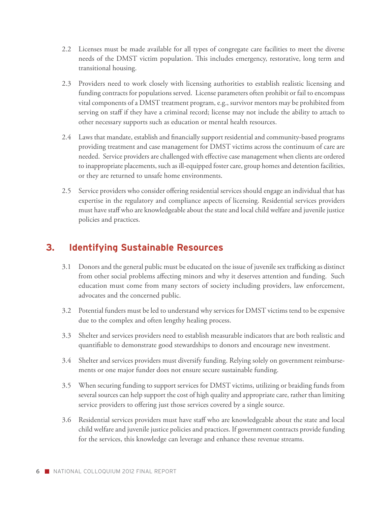- 2.2 Licenses must be made available for all types of congregate care facilities to meet the diverse needs of the DMST victim population. This includes emergency, restorative, long term and transitional housing.
- 2.3 Providers need to work closely with licensing authorities to establish realistic licensing and funding contracts for populations served. License parameters often prohibit or fail to encompass vital components of a DMST treatment program, e.g., survivor mentors may be prohibited from serving on staff if they have a criminal record; license may not include the ability to attach to other necessary supports such as education or mental health resources.
- 2.4 Laws that mandate, establish and financially support residential and community-based programs providing treatment and case management for DMST victims across the continuum of care are needed. Service providers are challenged with effective case management when clients are ordered to inappropriate placements, such as ill-equipped foster care, group homes and detention facilities, or they are returned to unsafe home environments.
- 2.5 Service providers who consider offering residential services should engage an individual that has expertise in the regulatory and compliance aspects of licensing. Residential services providers must have staff who are knowledgeable about the state and local child welfare and juvenile justice policies and practices.

# **3. Identifying Sustainable Resources**

- 3.1 Donors and the general public must be educated on the issue of juvenile sex trafficking as distinct from other social problems affecting minors and why it deserves attention and funding. Such education must come from many sectors of society including providers, law enforcement, advocates and the concerned public.
- 3.2 Potential funders must be led to understand why services for DMST victims tend to be expensive due to the complex and often lengthy healing process.
- 3.3 Shelter and services providers need to establish measurable indicators that are both realistic and quantifiable to demonstrate good stewardships to donors and encourage new investment.
- 3.4 Shelter and services providers must diversify funding. Relying solely on government reimbursements or one major funder does not ensure secure sustainable funding.
- 3.5 When securing funding to support services for DMST victims, utilizing or braiding funds from several sources can help support the cost of high quality and appropriate care, rather than limiting service providers to offering just those services covered by a single source.
- 3.6 Residential services providers must have staff who are knowledgeable about the state and local child welfare and juvenile justice policies and practices. If government contracts provide funding for the services, this knowledge can leverage and enhance these revenue streams.